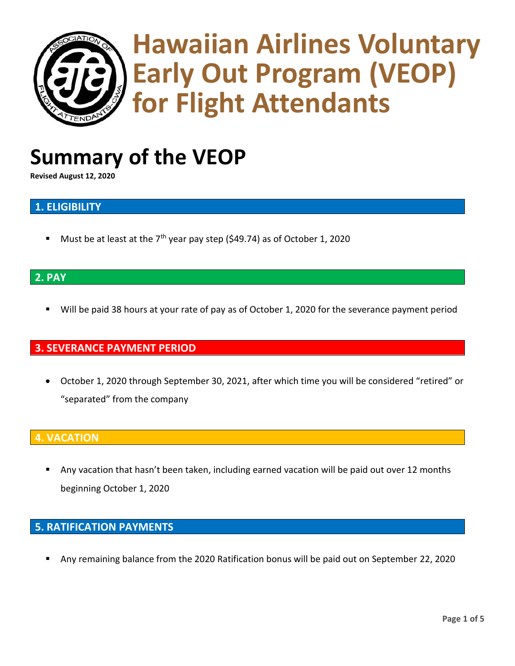

# **Hawaiian Airlines Voluntary Early Out Program (VEOP) for Flight Attendants**

## **Summary of the VEOP**

**Revised August 12, 2020**

## **1. ELIGIBILITY**

Must be at least at the  $7<sup>th</sup>$  year pay step (\$49.74) as of October 1, 2020

## **2. PAY**

Will be paid 38 hours at your rate of pay as of October 1, 2020 for the severance payment period

## **3. SEVERANCE PAYMENT PERIOD**

• October 1, 2020 through September 30, 2021, after which time you will be considered "retired" or "separated" from the company

## **4. VACATION**

Any vacation that hasn't been taken, including earned vacation will be paid out over 12 months beginning October 1, 2020

## **5. RATIFICATION PAYMENTS**

Any remaining balance from the 2020 Ratification bonus will be paid out on September 22, 2020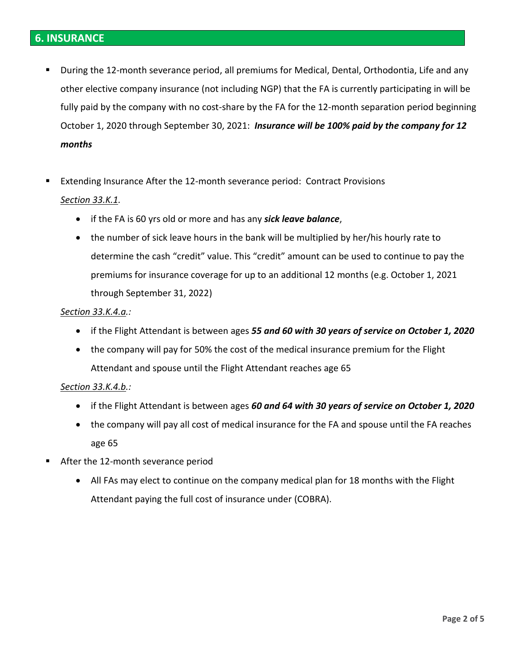- During the 12-month severance period, all premiums for Medical, Dental, Orthodontia, Life and any other elective company insurance (not including NGP) that the FA is currently participating in will be fully paid by the company with no cost-share by the FA for the 12-month separation period beginning October 1, 2020 through September 30, 2021: *Insurance will be 100% paid by the company for 12 months*
- Extending Insurance After the 12-month severance period: Contract Provisions

#### *Section 33.K.1.*

- if the FA is 60 yrs old or more and has any *sick leave balance*,
- the number of sick leave hours in the bank will be multiplied by her/his hourly rate to determine the cash "credit" value. This "credit" amount can be used to continue to pay the premiums for insurance coverage for up to an additional 12 months (e.g. October 1, 2021 through September 31, 2022)

#### *Section 33.K.4.a.:*

- if the Flight Attendant is between ages *55 and 60 with 30 years of service on October 1, 2020*
- the company will pay for 50% the cost of the medical insurance premium for the Flight Attendant and spouse until the Flight Attendant reaches age 65

#### *Section 33.K.4.b.:*

- if the Flight Attendant is between ages *60 and 64 with 30 years of service on October 1, 2020*
- the company will pay all cost of medical insurance for the FA and spouse until the FA reaches age 65
- After the 12-month severance period
	- All FAs may elect to continue on the company medical plan for 18 months with the Flight Attendant paying the full cost of insurance under (COBRA).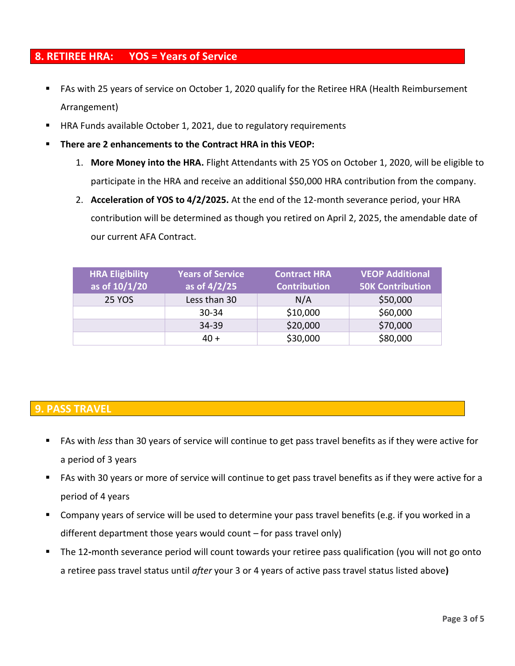## **8. RETIREE HRA: YOS = Years of Service**

- FAs with 25 years of service on October 1, 2020 qualify for the Retiree HRA (Health Reimbursement Arrangement)
- HRA Funds available October 1, 2021, due to regulatory requirements
- **There are 2 enhancements to the Contract HRA in this VEOP:**
	- 1. **More Money into the HRA.** Flight Attendants with 25 YOS on October 1, 2020, will be eligible to participate in the HRA and receive an additional \$50,000 HRA contribution from the company.
	- 2. **Acceleration of YOS to 4/2/2025.** At the end of the 12-month severance period, your HRA contribution will be determined as though you retired on April 2, 2025, the amendable date of our current AFA Contract.

| <b>HRA Eligibility</b><br>as of $10/1/20$ | <b>Years of Service</b><br>as of $4/2/25$ | <b>Contract HRA</b><br><b>Contribution</b> | <b>VEOP Additional</b><br><b>50K Contribution</b> |
|-------------------------------------------|-------------------------------------------|--------------------------------------------|---------------------------------------------------|
| <b>25 YOS</b>                             | Less than 30                              | N/A                                        | \$50,000                                          |
|                                           | $30 - 34$                                 | \$10,000                                   | \$60,000                                          |
|                                           | 34-39                                     | \$20,000                                   | \$70,000                                          |
|                                           | 40 +                                      | \$30,000                                   | \$80,000                                          |

## **9. PASS TRAVEL**

- FAs with *less* than 30 years of service will continue to get pass travel benefits as if they were active for a period of 3 years
- FAs with 30 years or more of service will continue to get pass travel benefits as if they were active for a period of 4 years
- Company years of service will be used to determine your pass travel benefits (e.g. if you worked in a different department those years would count – for pass travel only)
- The 12-month severance period will count towards your retiree pass qualification (you will not go onto a retiree pass travel status until *after* your 3 or 4 years of active pass travel status listed above**)**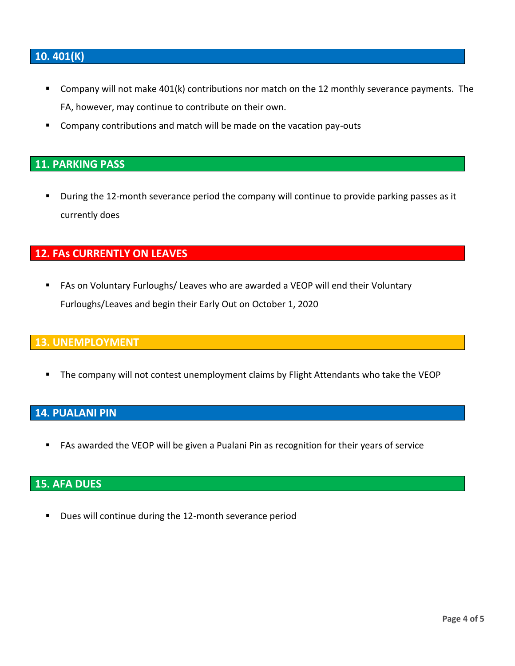## **10. 401(K)**

- Company will not make 401(k) contributions nor match on the 12 monthly severance payments. The FA, however, may continue to contribute on their own.
- Company contributions and match will be made on the vacation pay-outs

## **11. PARKING PASS**

■ During the 12-month severance period the company will continue to provide parking passes as it currently does

## **12. FAs CURRENTLY ON LEAVES**

■ FAs on Voluntary Furloughs/ Leaves who are awarded a VEOP will end their Voluntary Furloughs/Leaves and begin their Early Out on October 1, 2020

## **13. UNEMPLOYMENT**

The company will not contest unemployment claims by Flight Attendants who take the VEOP

## **14. PUALANI PIN**

FAs awarded the VEOP will be given a Pualani Pin as recognition for their years of service

## **15. AFA DUES**

■ Dues will continue during the 12-month severance period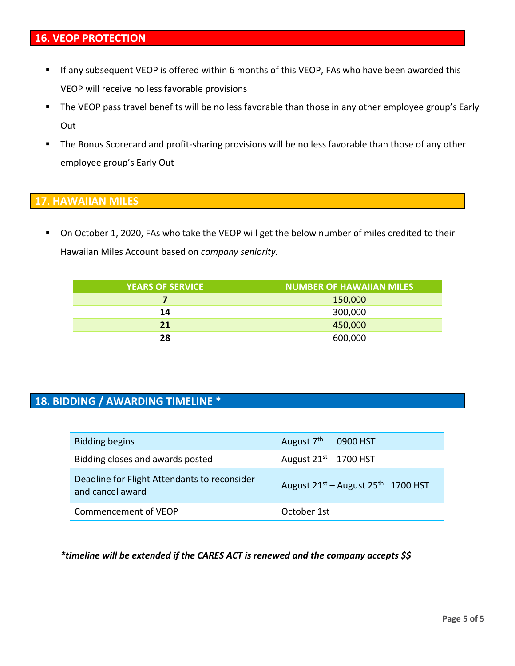- If any subsequent VEOP is offered within 6 months of this VEOP, FAs who have been awarded this VEOP will receive no less favorable provisions
- The VEOP pass travel benefits will be no less favorable than those in any other employee group's Early Out
- The Bonus Scorecard and profit-sharing provisions will be no less favorable than those of any other employee group's Early Out

## **17. HAWAIIAN MILES**

■ On October 1, 2020, FAs who take the VEOP will get the below number of miles credited to their Hawaiian Miles Account based on *company seniority.*

| <b>YEARS OF SERVICE</b> | NUMBER OF HAWAIIAN MILES |
|-------------------------|--------------------------|
|                         | 150,000                  |
| 14                      | 300,000                  |
| 21                      | 450,000                  |
| 28                      | 600,000                  |

## **18. BIDDING / AWARDING TIMELINE \***

| <b>Bidding begins</b>                                            | August 7 <sup>th</sup> 0900 HST              |
|------------------------------------------------------------------|----------------------------------------------|
| Bidding closes and awards posted                                 | August $21^{st}$ 1700 HST                    |
| Deadline for Flight Attendants to reconsider<br>and cancel award | August $21^{st}$ – August $25^{th}$ 1700 HST |
| Commencement of VEOP                                             | October 1st                                  |

*\*timeline will be extended if the CARES ACT is renewed and the company accepts \$\$*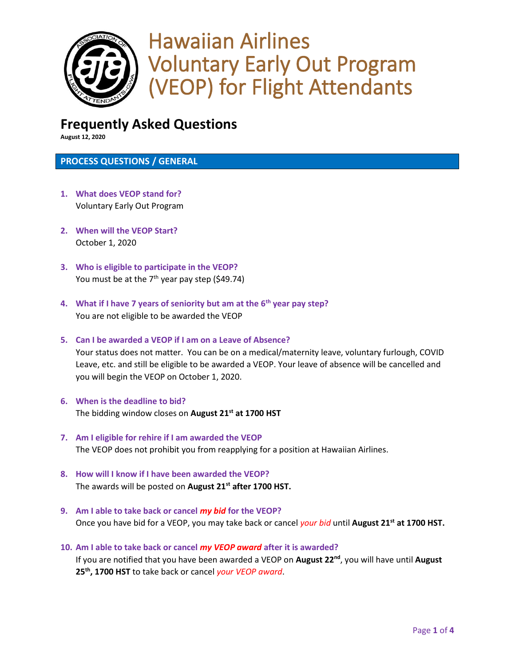

## Hawaiian Airlines Voluntary Early Out Program (VEOP) for Flight Attendants

## **Frequently Asked Questions**

**August 12, 2020**

#### **PROCESS QUESTIONS / GENERAL**

- **1. What does VEOP stand for?** Voluntary Early Out Program
- **2. When will the VEOP Start?** October 1, 2020
- **3. Who is eligible to participate in the VEOP?** You must be at the  $7<sup>th</sup>$  year pay step (\$49.74)
- **4. What if I have 7 years of seniority but am at the 6th year pay step?** You are not eligible to be awarded the VEOP
- **5. Can I be awarded a VEOP if I am on a Leave of Absence?** Your status does not matter. You can be on a medical/maternity leave, voluntary furlough, COVID Leave, etc. and still be eligible to be awarded a VEOP. Your leave of absence will be cancelled and you will begin the VEOP on October 1, 2020.
- **6. When is the deadline to bid?** The bidding window closes on **August 21st at 1700 HST**
- **7. Am I eligible for rehire if I am awarded the VEOP** The VEOP does not prohibit you from reapplying for a position at Hawaiian Airlines.
- **8. How will I know if I have been awarded the VEOP?** The awards will be posted on **August 21st after 1700 HST.**
- **9. Am I able to take back or cancel** *my bid* **for the VEOP?** Once you have bid for a VEOP, you may take back or cancel *your bid* until **August 21st at 1700 HST.**
- **10. Am I able to take back or cancel** *my VEOP award* **after it is awarded?** If you are notified that you have been awarded a VEOP on **August 22nd**, you will have until **August 25th, 1700 HST** to take back or cancel *your VEOP award*.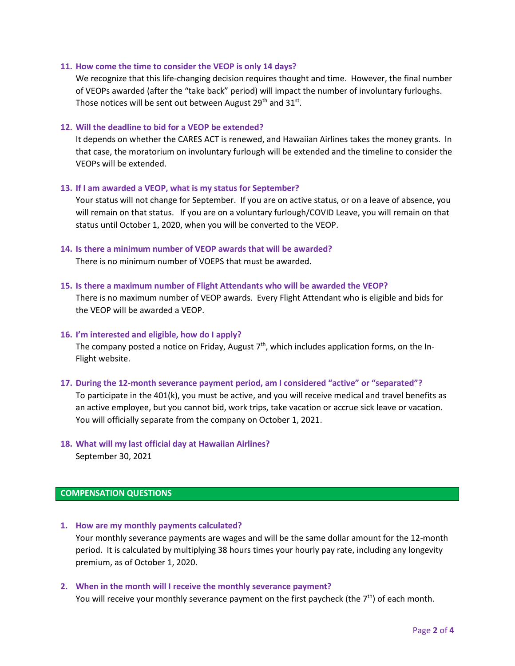#### **11. How come the time to consider the VEOP is only 14 days?**

We recognize that this life-changing decision requires thought and time. However, the final number of VEOPs awarded (after the "take back" period) will impact the number of involuntary furloughs. Those notices will be sent out between August 29<sup>th</sup> and 31<sup>st</sup>.

#### **12. Will the deadline to bid for a VEOP be extended?**

It depends on whether the CARES ACT is renewed, and Hawaiian Airlines takes the money grants. In that case, the moratorium on involuntary furlough will be extended and the timeline to consider the VEOPs will be extended.

#### **13. If I am awarded a VEOP, what is my status for September?**

Your status will not change for September. If you are on active status, or on a leave of absence, you will remain on that status. If you are on a voluntary furlough/COVID Leave, you will remain on that status until October 1, 2020, when you will be converted to the VEOP.

**14. Is there a minimum number of VEOP awards that will be awarded?** There is no minimum number of VOEPS that must be awarded.

#### **15. Is there a maximum number of Flight Attendants who will be awarded the VEOP?**

There is no maximum number of VEOP awards. Every Flight Attendant who is eligible and bids for the VEOP will be awarded a VEOP.

#### **16. I'm interested and eligible, how do I apply?**

The company posted a notice on Friday, August 7<sup>th</sup>, which includes application forms, on the In-Flight website.

#### **17. During the 12-month severance payment period, am I considered "active" or "separated"?**

To participate in the 401(k), you must be active, and you will receive medical and travel benefits as an active employee, but you cannot bid, work trips, take vacation or accrue sick leave or vacation. You will officially separate from the company on October 1, 2021.

## **18. What will my last official day at Hawaiian Airlines?**

September 30, 2021

#### **COMPENSATION QUESTIONS**

- **1. How are my monthly payments calculated?** Your monthly severance payments are wages and will be the same dollar amount for the 12-month period. It is calculated by multiplying 38 hours times your hourly pay rate, including any longevity premium, as of October 1, 2020.
- **2. When in the month will I receive the monthly severance payment?** You will receive your monthly severance payment on the first paycheck (the  $7<sup>th</sup>$ ) of each month.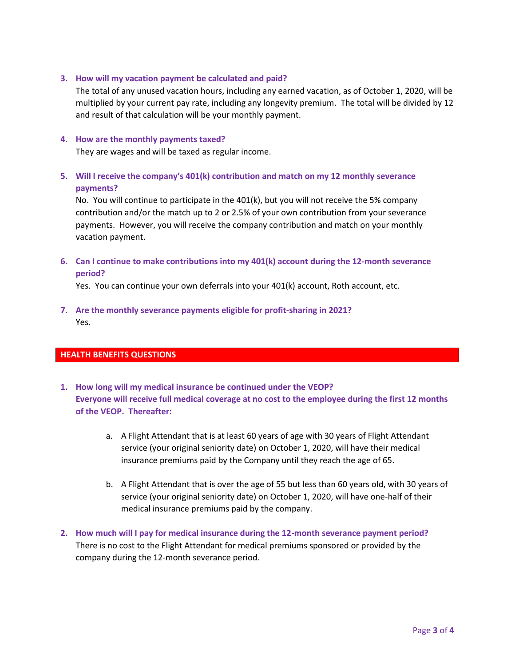#### **3. How will my vacation payment be calculated and paid?**

The total of any unused vacation hours, including any earned vacation, as of October 1, 2020, will be multiplied by your current pay rate, including any longevity premium. The total will be divided by 12 and result of that calculation will be your monthly payment.

#### **4. How are the monthly payments taxed?**

They are wages and will be taxed as regular income.

**5. Will I receive the company's 401(k) contribution and match on my 12 monthly severance payments?**

No. You will continue to participate in the 401(k), but you will not receive the 5% company contribution and/or the match up to 2 or 2.5% of your own contribution from your severance payments. However, you will receive the company contribution and match on your monthly vacation payment.

**6. Can I continue to make contributions into my 401(k) account during the 12-month severance period?**

Yes. You can continue your own deferrals into your 401(k) account, Roth account, etc.

**7. Are the monthly severance payments eligible for profit-sharing in 2021?** Yes.

#### **HEALTH BENEFITS QUESTIONS**

- **1. How long will my medical insurance be continued under the VEOP? Everyone will receive full medical coverage at no cost to the employee during the first 12 months of the VEOP. Thereafter:** 
	- a. A Flight Attendant that is at least 60 years of age with 30 years of Flight Attendant service (your original seniority date) on October 1, 2020, will have their medical insurance premiums paid by the Company until they reach the age of 65.
	- b. A Flight Attendant that is over the age of 55 but less than 60 years old, with 30 years of service (your original seniority date) on October 1, 2020, will have one-half of their medical insurance premiums paid by the company.
- **2. How much will I pay for medical insurance during the 12-month severance payment period?** There is no cost to the Flight Attendant for medical premiums sponsored or provided by the company during the 12-month severance period.